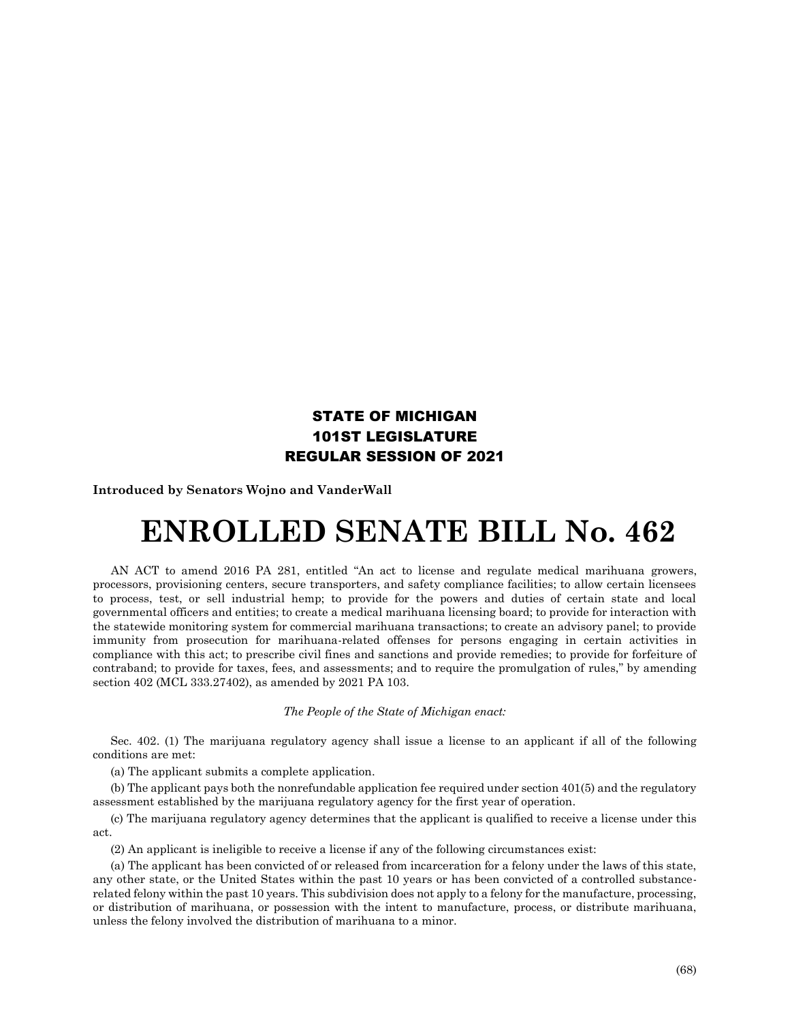## STATE OF MICHIGAN 101ST LEGISLATURE REGULAR SESSION OF 2021

**Introduced by Senators Wojno and VanderWall**

## **ENROLLED SENATE BILL No. 462**

AN ACT to amend 2016 PA 281, entitled "An act to license and regulate medical marihuana growers, processors, provisioning centers, secure transporters, and safety compliance facilities; to allow certain licensees to process, test, or sell industrial hemp; to provide for the powers and duties of certain state and local governmental officers and entities; to create a medical marihuana licensing board; to provide for interaction with the statewide monitoring system for commercial marihuana transactions; to create an advisory panel; to provide immunity from prosecution for marihuana-related offenses for persons engaging in certain activities in compliance with this act; to prescribe civil fines and sanctions and provide remedies; to provide for forfeiture of contraband; to provide for taxes, fees, and assessments; and to require the promulgation of rules," by amending section 402 (MCL 333.27402), as amended by 2021 PA 103.

## *The People of the State of Michigan enact:*

Sec. 402. (1) The marijuana regulatory agency shall issue a license to an applicant if all of the following conditions are met:

(a) The applicant submits a complete application.

(b) The applicant pays both the nonrefundable application fee required under section 401(5) and the regulatory assessment established by the marijuana regulatory agency for the first year of operation.

(c) The marijuana regulatory agency determines that the applicant is qualified to receive a license under this act.

(2) An applicant is ineligible to receive a license if any of the following circumstances exist:

(a) The applicant has been convicted of or released from incarceration for a felony under the laws of this state, any other state, or the United States within the past 10 years or has been convicted of a controlled substancerelated felony within the past 10 years. This subdivision does not apply to a felony for the manufacture, processing, or distribution of marihuana, or possession with the intent to manufacture, process, or distribute marihuana, unless the felony involved the distribution of marihuana to a minor.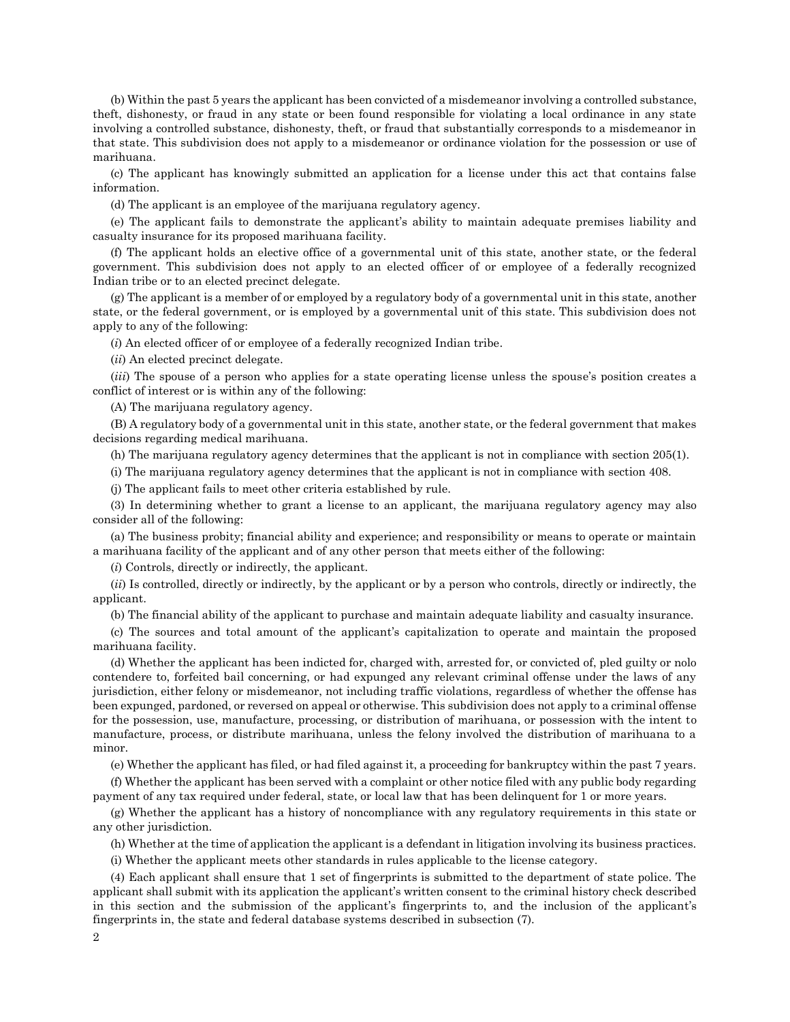(b) Within the past 5 years the applicant has been convicted of a misdemeanor involving a controlled substance, theft, dishonesty, or fraud in any state or been found responsible for violating a local ordinance in any state involving a controlled substance, dishonesty, theft, or fraud that substantially corresponds to a misdemeanor in that state. This subdivision does not apply to a misdemeanor or ordinance violation for the possession or use of marihuana.

(c) The applicant has knowingly submitted an application for a license under this act that contains false information.

(d) The applicant is an employee of the marijuana regulatory agency.

(e) The applicant fails to demonstrate the applicant's ability to maintain adequate premises liability and casualty insurance for its proposed marihuana facility.

(f) The applicant holds an elective office of a governmental unit of this state, another state, or the federal government. This subdivision does not apply to an elected officer of or employee of a federally recognized Indian tribe or to an elected precinct delegate.

(g) The applicant is a member of or employed by a regulatory body of a governmental unit in this state, another state, or the federal government, or is employed by a governmental unit of this state. This subdivision does not apply to any of the following:

(*i*) An elected officer of or employee of a federally recognized Indian tribe.

(*ii*) An elected precinct delegate.

(*iii*) The spouse of a person who applies for a state operating license unless the spouse's position creates a conflict of interest or is within any of the following:

(A) The marijuana regulatory agency.

(B) A regulatory body of a governmental unit in this state, another state, or the federal government that makes decisions regarding medical marihuana.

(h) The marijuana regulatory agency determines that the applicant is not in compliance with section 205(1).

(i) The marijuana regulatory agency determines that the applicant is not in compliance with section 408.

(j) The applicant fails to meet other criteria established by rule.

(3) In determining whether to grant a license to an applicant, the marijuana regulatory agency may also consider all of the following:

(a) The business probity; financial ability and experience; and responsibility or means to operate or maintain a marihuana facility of the applicant and of any other person that meets either of the following:

(*i*) Controls, directly or indirectly, the applicant.

(*ii*) Is controlled, directly or indirectly, by the applicant or by a person who controls, directly or indirectly, the applicant.

(b) The financial ability of the applicant to purchase and maintain adequate liability and casualty insurance.

(c) The sources and total amount of the applicant's capitalization to operate and maintain the proposed marihuana facility.

(d) Whether the applicant has been indicted for, charged with, arrested for, or convicted of, pled guilty or nolo contendere to, forfeited bail concerning, or had expunged any relevant criminal offense under the laws of any jurisdiction, either felony or misdemeanor, not including traffic violations, regardless of whether the offense has been expunged, pardoned, or reversed on appeal or otherwise. This subdivision does not apply to a criminal offense for the possession, use, manufacture, processing, or distribution of marihuana, or possession with the intent to manufacture, process, or distribute marihuana, unless the felony involved the distribution of marihuana to a minor.

(e) Whether the applicant has filed, or had filed against it, a proceeding for bankruptcy within the past 7 years.

(f) Whether the applicant has been served with a complaint or other notice filed with any public body regarding payment of any tax required under federal, state, or local law that has been delinquent for 1 or more years.

(g) Whether the applicant has a history of noncompliance with any regulatory requirements in this state or any other jurisdiction.

(h) Whether at the time of application the applicant is a defendant in litigation involving its business practices.

(i) Whether the applicant meets other standards in rules applicable to the license category.

(4) Each applicant shall ensure that 1 set of fingerprints is submitted to the department of state police. The applicant shall submit with its application the applicant's written consent to the criminal history check described in this section and the submission of the applicant's fingerprints to, and the inclusion of the applicant's fingerprints in, the state and federal database systems described in subsection (7).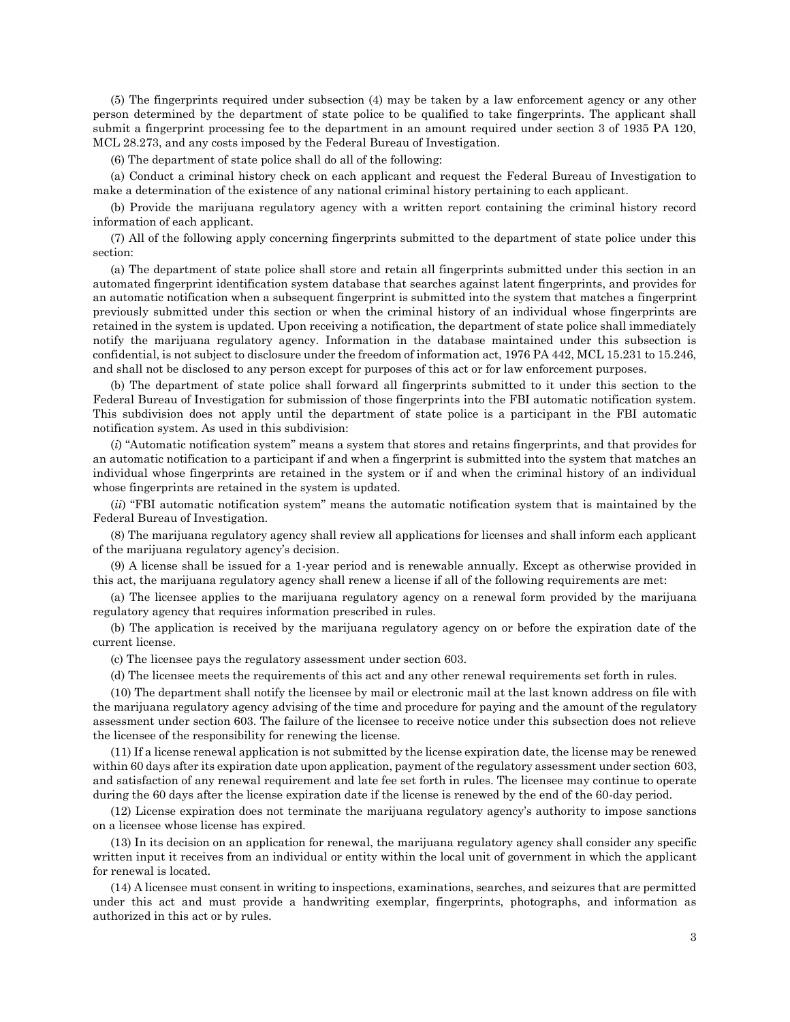(5) The fingerprints required under subsection (4) may be taken by a law enforcement agency or any other person determined by the department of state police to be qualified to take fingerprints. The applicant shall submit a fingerprint processing fee to the department in an amount required under section 3 of 1935 PA 120, MCL 28.273, and any costs imposed by the Federal Bureau of Investigation.

(6) The department of state police shall do all of the following:

(a) Conduct a criminal history check on each applicant and request the Federal Bureau of Investigation to make a determination of the existence of any national criminal history pertaining to each applicant.

(b) Provide the marijuana regulatory agency with a written report containing the criminal history record information of each applicant.

(7) All of the following apply concerning fingerprints submitted to the department of state police under this section:

(a) The department of state police shall store and retain all fingerprints submitted under this section in an automated fingerprint identification system database that searches against latent fingerprints, and provides for an automatic notification when a subsequent fingerprint is submitted into the system that matches a fingerprint previously submitted under this section or when the criminal history of an individual whose fingerprints are retained in the system is updated. Upon receiving a notification, the department of state police shall immediately notify the marijuana regulatory agency. Information in the database maintained under this subsection is confidential, is not subject to disclosure under the freedom of information act, 1976 PA 442, MCL 15.231 to 15.246, and shall not be disclosed to any person except for purposes of this act or for law enforcement purposes.

(b) The department of state police shall forward all fingerprints submitted to it under this section to the Federal Bureau of Investigation for submission of those fingerprints into the FBI automatic notification system. This subdivision does not apply until the department of state police is a participant in the FBI automatic notification system. As used in this subdivision:

(*i*) "Automatic notification system" means a system that stores and retains fingerprints, and that provides for an automatic notification to a participant if and when a fingerprint is submitted into the system that matches an individual whose fingerprints are retained in the system or if and when the criminal history of an individual whose fingerprints are retained in the system is updated.

(*ii*) "FBI automatic notification system" means the automatic notification system that is maintained by the Federal Bureau of Investigation.

(8) The marijuana regulatory agency shall review all applications for licenses and shall inform each applicant of the marijuana regulatory agency's decision.

(9) A license shall be issued for a 1-year period and is renewable annually. Except as otherwise provided in this act, the marijuana regulatory agency shall renew a license if all of the following requirements are met:

(a) The licensee applies to the marijuana regulatory agency on a renewal form provided by the marijuana regulatory agency that requires information prescribed in rules.

(b) The application is received by the marijuana regulatory agency on or before the expiration date of the current license.

(c) The licensee pays the regulatory assessment under section 603.

(d) The licensee meets the requirements of this act and any other renewal requirements set forth in rules.

(10) The department shall notify the licensee by mail or electronic mail at the last known address on file with the marijuana regulatory agency advising of the time and procedure for paying and the amount of the regulatory assessment under section 603. The failure of the licensee to receive notice under this subsection does not relieve the licensee of the responsibility for renewing the license.

(11) If a license renewal application is not submitted by the license expiration date, the license may be renewed within 60 days after its expiration date upon application, payment of the regulatory assessment under section 603, and satisfaction of any renewal requirement and late fee set forth in rules. The licensee may continue to operate during the 60 days after the license expiration date if the license is renewed by the end of the 60-day period.

(12) License expiration does not terminate the marijuana regulatory agency's authority to impose sanctions on a licensee whose license has expired.

(13) In its decision on an application for renewal, the marijuana regulatory agency shall consider any specific written input it receives from an individual or entity within the local unit of government in which the applicant for renewal is located.

(14) A licensee must consent in writing to inspections, examinations, searches, and seizures that are permitted under this act and must provide a handwriting exemplar, fingerprints, photographs, and information as authorized in this act or by rules.